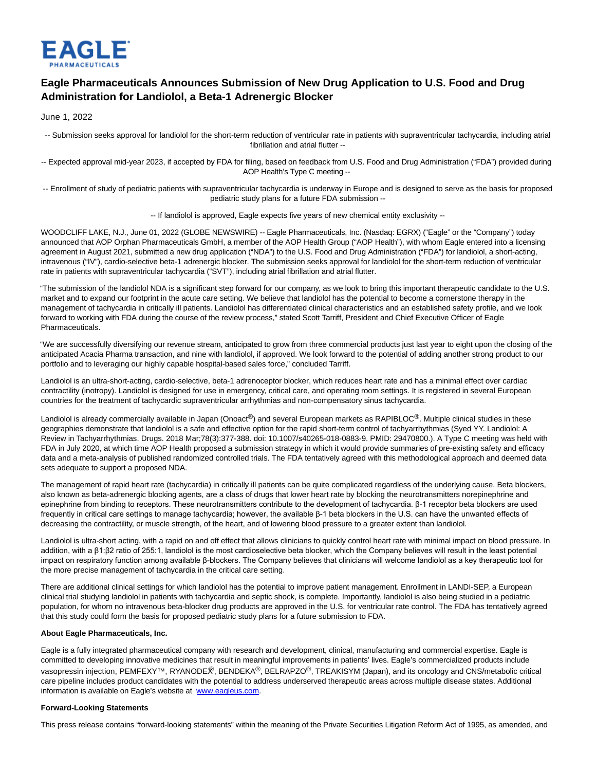

## **Eagle Pharmaceuticals Announces Submission of New Drug Application to U.S. Food and Drug Administration for Landiolol, a Beta-1 Adrenergic Blocker**

June 1, 2022

-- Submission seeks approval for landiolol for the short-term reduction of ventricular rate in patients with supraventricular tachycardia, including atrial fibrillation and atrial flutter --

-- Expected approval mid-year 2023, if accepted by FDA for filing, based on feedback from U.S. Food and Drug Administration ("FDA") provided during AOP Health's Type C meeting --

-- Enrollment of study of pediatric patients with supraventricular tachycardia is underway in Europe and is designed to serve as the basis for proposed pediatric study plans for a future FDA submission --

-- If landiolol is approved, Eagle expects five years of new chemical entity exclusivity --

WOODCLIFF LAKE, N.J., June 01, 2022 (GLOBE NEWSWIRE) -- Eagle Pharmaceuticals, Inc. (Nasdaq: EGRX) ("Eagle" or the "Company") today announced that AOP Orphan Pharmaceuticals GmbH, a member of the AOP Health Group ("AOP Health"), with whom Eagle entered into a licensing agreement in August 2021, submitted a new drug application ("NDA") to the U.S. Food and Drug Administration ("FDA") for landiolol, a short-acting, intravenous ("IV"), cardio-selective beta-1 adrenergic blocker. The submission seeks approval for landiolol for the short-term reduction of ventricular rate in patients with supraventricular tachycardia ("SVT"), including atrial fibrillation and atrial flutter.

"The submission of the landiolol NDA is a significant step forward for our company, as we look to bring this important therapeutic candidate to the U.S. market and to expand our footprint in the acute care setting. We believe that landiolol has the potential to become a cornerstone therapy in the management of tachycardia in critically ill patients. Landiolol has differentiated clinical characteristics and an established safety profile, and we look forward to working with FDA during the course of the review process," stated Scott Tarriff, President and Chief Executive Officer of Eagle Pharmaceuticals.

"We are successfully diversifying our revenue stream, anticipated to grow from three commercial products just last year to eight upon the closing of the anticipated Acacia Pharma transaction, and nine with landiolol, if approved. We look forward to the potential of adding another strong product to our portfolio and to leveraging our highly capable hospital-based sales force," concluded Tarriff.

Landiolol is an ultra-short-acting, cardio-selective, beta-1 adrenoceptor blocker, which reduces heart rate and has a minimal effect over cardiac contractility (inotropy). Landiolol is designed for use in emergency, critical care, and operating room settings. It is registered in several European countries for the treatment of tachycardic supraventricular arrhythmias and non-compensatory sinus tachycardia.

Landiolol is already commercially available in Japan (Onoact<sup>®</sup>) and several European markets as RAPIBLOC<sup>®</sup>. Multiple clinical studies in these geographies demonstrate that landiolol is a safe and effective option for the rapid short-term control of tachyarrhythmias (Syed YY. Landiolol: A Review in Tachyarrhythmias. Drugs. 2018 Mar;78(3):377-388. doi: 10.1007/s40265-018-0883-9. PMID: 29470800.). A Type C meeting was held with FDA in July 2020, at which time AOP Health proposed a submission strategy in which it would provide summaries of pre-existing safety and efficacy data and a meta-analysis of published randomized controlled trials. The FDA tentatively agreed with this methodological approach and deemed data sets adequate to support a proposed NDA.

The management of rapid heart rate (tachycardia) in critically ill patients can be quite complicated regardless of the underlying cause. Beta blockers, also known as beta-adrenergic blocking agents, are a class of drugs that lower heart rate by blocking the neurotransmitters norepinephrine and epinephrine from binding to receptors. These neurotransmitters contribute to the development of tachycardia. β-1 receptor beta blockers are used frequently in critical care settings to manage tachycardia; however, the available β-1 beta blockers in the U.S. can have the unwanted effects of decreasing the contractility, or muscle strength, of the heart, and of lowering blood pressure to a greater extent than landiolol.

Landiolol is ultra-short acting, with a rapid on and off effect that allows clinicians to quickly control heart rate with minimal impact on blood pressure. In addition, with a β1:β2 ratio of 255:1, landiolol is the most cardioselective beta blocker, which the Company believes will result in the least potential impact on respiratory function among available β-blockers. The Company believes that clinicians will welcome landiolol as a key therapeutic tool for the more precise management of tachycardia in the critical care setting.

There are additional clinical settings for which landiolol has the potential to improve patient management. Enrollment in LANDI-SEP, a European clinical trial studying landiolol in patients with tachycardia and septic shock, is complete. Importantly, landiolol is also being studied in a pediatric population, for whom no intravenous beta-blocker drug products are approved in the U.S. for ventricular rate control. The FDA has tentatively agreed that this study could form the basis for proposed pediatric study plans for a future submission to FDA.

## **About Eagle Pharmaceuticals, Inc.**

Eagle is a fully integrated pharmaceutical company with research and development, clinical, manufacturing and commercial expertise. Eagle is committed to developing innovative medicines that result in meaningful improvements in patients' lives. Eagle's commercialized products include vasopressin injection, PEMFEXY™, RYANODE $\hat{\mathcal{R}}$ , BENDEKA®, BELRAPZO®, TREAKISYM (Japan), and its oncology and CNS/metabolic critical care pipeline includes product candidates with the potential to address underserved therapeutic areas across multiple disease states. Additional information is available on Eagle's website at [www.eagleus.com.](https://www.globenewswire.com/Tracker?data=YhHzgRix8lTZw2cFFgpqoJJIEWasIK-qSn_mt2NPq8vVm4C7Q3dt1eEPEMSIi5YzTES96q12TYC8r7gzJkH0ZA==)

## **Forward-Looking Statements**

This press release contains "forward-looking statements" within the meaning of the Private Securities Litigation Reform Act of 1995, as amended, and